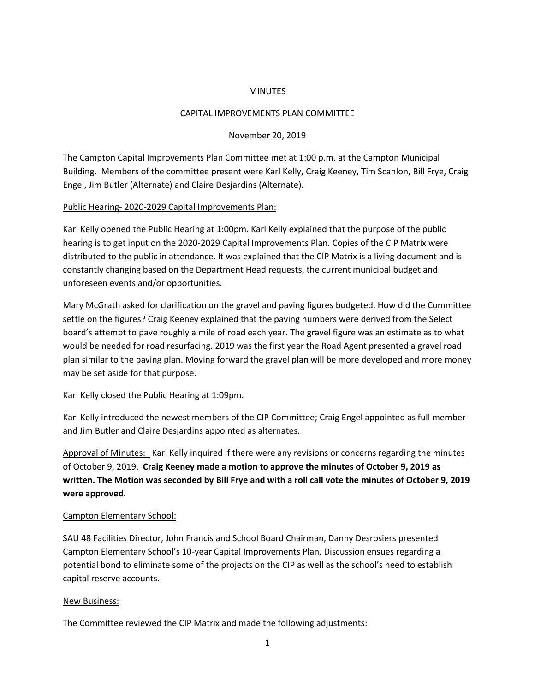#### MINUTES

### CAPITAL IMPROVEMENTS PLAN COMMITTEE

### November 20, 2019

The Campton Capital Improvements Plan Committee met at 1:00 p.m. at the Campton Municipal Building. Members of the committee present were Karl Kelly, Craig Keeney, Tim Scanlon, Bill Frye, Craig Engel, Jim Butler (Alternate) and Claire Desjardins (Alternate).

### Public Hearing- 2020-2029 Capital Improvements Plan:

Karl Kelly opened the Public Hearing at 1:00pm. Karl Kelly explained that the purpose of the public hearing is to get input on the 2020-2029 Capital Improvements Plan. Copies of the CIP Matrix were distributed to the public in attendance. It was explained that the CIP Matrix is a living document and is constantly changing based on the Department Head requests, the current municipal budget and unforeseen events and/or opportunities.

Mary McGrath asked for clarification on the gravel and paving figures budgeted. How did the Committee settle on the figures? Craig Keeney explained that the paving numbers were derived from the Select board's attempt to pave roughly a mile of road each year. The gravel figure was an estimate as to what would be needed for road resurfacing. 2019 was the first year the Road Agent presented a gravel road plan similar to the paving plan. Moving forward the gravel plan will be more developed and more money may be set aside for that purpose.

Karl Kelly closed the Public Hearing at 1:09pm.

Karl Kelly introduced the newest members of the CIP Committee; Craig Engel appointed as full member and Jim Butler and Claire Desjardins appointed as alternates.

Approval of Minutes: Karl Kelly inquired if there were any revisions or concerns regarding the minutes of October 9, 2019. **Craig Keeney made a motion to approve the minutes of October 9, 2019 as written. The Motion was seconded by Bill Frye and with a roll call vote the minutes of October 9, 2019 were approved.** 

# Campton Elementary School:

SAU 48 Facilities Director, John Francis and School Board Chairman, Danny Desrosiers presented Campton Elementary School's 10-year Capital Improvements Plan. Discussion ensues regarding a potential bond to eliminate some of the projects on the CIP as well as the school's need to establish capital reserve accounts.

# New Business:

The Committee reviewed the CIP Matrix and made the following adjustments: